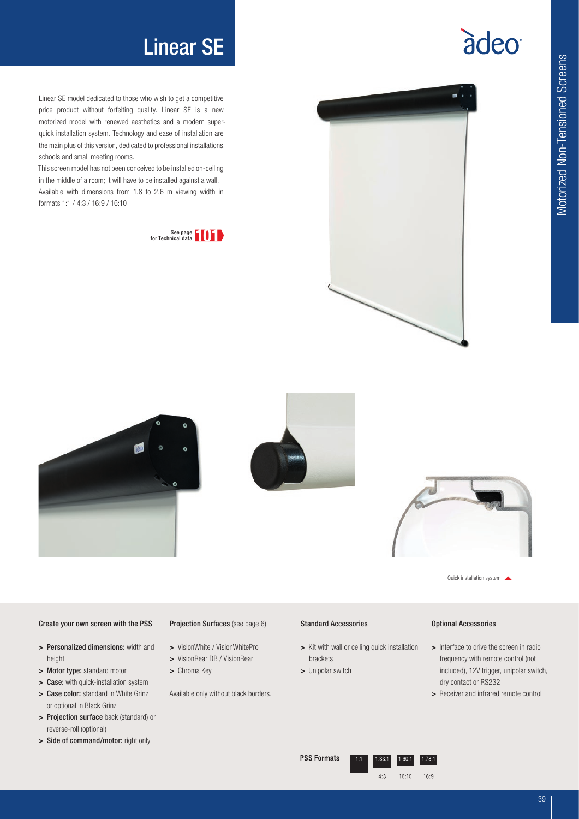## Linear SE

Linear SE model dedicated to those who wish to get a competitive price product without forfeiting quality. Linear SE is a new motorized model with renewed aesthetics and a modern superquick installation system. Technology and ease of installation are the main plus of this version, dedicated to professional installations, schools and small meeting rooms.

This screen model has not been conceived to be installed on-ceiling in the middle of a room; it will have to be installed against a wall. Available with dimensions from 1.8 to 2.6 m viewing width in formats 1:1 / 4:3 / 16:9 / 16:10











Quick installation system

#### Create your own screen with the PSS

- > Personalized dimensions: width and height
- > Motor type: standard motor
- > Case: with quick-installation system
- > Case color: standard in White Grinz or optional in Black Grinz
- > Projection surface back (standard) or reverse-roll (optional)
- > Side of command/motor: right only

#### Projection Surfaces (see page 6)

- > VisionWhite / VisionWhitePro
- > VisionRear DB / VisionRear
- > Chroma Key

Available only without black borders.

#### Standard Accessories

- > Kit with wall or ceiling quick installation brackets
- > Unipolar switch

#### Optional Accessories

- > Interface to drive the screen in radio frequency with remote control (not included), 12V trigger, unipolar switch, dry contact or RS232
- > Receiver and infrared remote control

#### **PSS Formats**



 $1.78:1$ 

àdeo